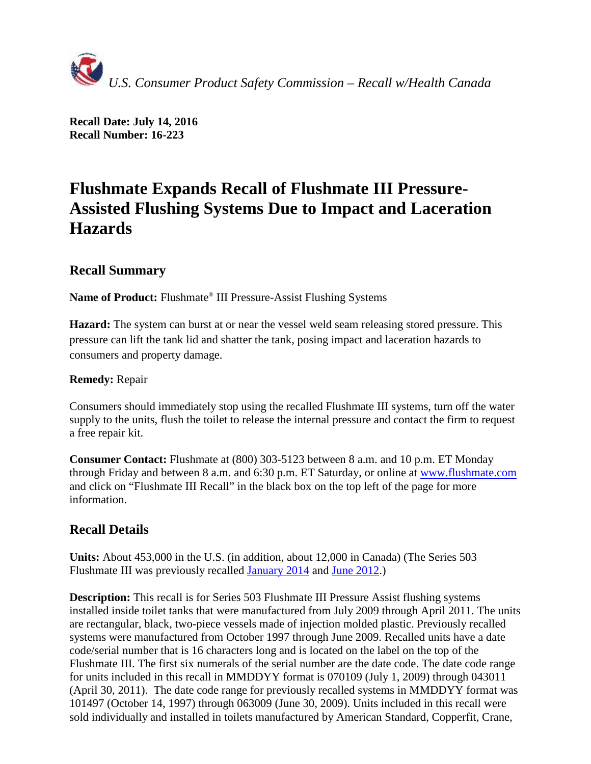

**Recall Date: July 14, 2016 Recall Number: 16-223**

# **Flushmate Expands Recall of Flushmate III Pressure-Assisted Flushing Systems Due to Impact and Laceration Hazards**

## **Recall Summary**

**Name of Product:** Flushmate® III Pressure-Assist Flushing Systems

**Hazard:** The system can burst at or near the vessel weld seam releasing stored pressure. This pressure can lift the tank lid and shatter the tank, posing impact and laceration hazards to consumers and property damage.

### **Remedy:** Repair

Consumers should immediately stop using the recalled Flushmate III systems, turn off the water supply to the units, flush the toilet to release the internal pressure and contact the firm to request a free repair kit.

**Consumer Contact:** Flushmate at (800) 303-5123 between 8 a.m. and 10 p.m. ET Monday through Friday and between 8 a.m. and 6:30 p.m. ET Saturday, or online at [www.flushmate.com](https://www.flushmate.com/recall/) and click on "Flushmate III Recall" in the black box on the top left of the page for more information.

## **Recall Details**

**Units:** About 453,000 in the U.S. (in addition, about 12,000 in Canada) (The Series 503 Flushmate III was previously recalled [January 2014](http://www.cpsc.gov/en/recalls/2014/flushmate-expands-recall-of-flushmate-iii-pressure-assisted-flushing-system/) and [June 2012.](http://www.cpsc.gov/en/recalls/2012/flushmate-recalls-flushmate-iii-pressure-assisted-flushing-system-due-to-impact-and-laceration-hazards/))

**Description:** This recall is for Series 503 Flushmate III Pressure Assist flushing systems installed inside toilet tanks that were manufactured from July 2009 through April 2011. The units are rectangular, black, two-piece vessels made of injection molded plastic. Previously recalled systems were manufactured from October 1997 through June 2009. Recalled units have a date code/serial number that is 16 characters long and is located on the label on the top of the Flushmate III. The first six numerals of the serial number are the date code. The date code range for units included in this recall in MMDDYY format is 070109 (July 1, 2009) through 043011 (April 30, 2011). The date code range for previously recalled systems in MMDDYY format was 101497 (October 14, 1997) through 063009 (June 30, 2009). Units included in this recall were sold individually and installed in toilets manufactured by American Standard, Copperfit, Crane,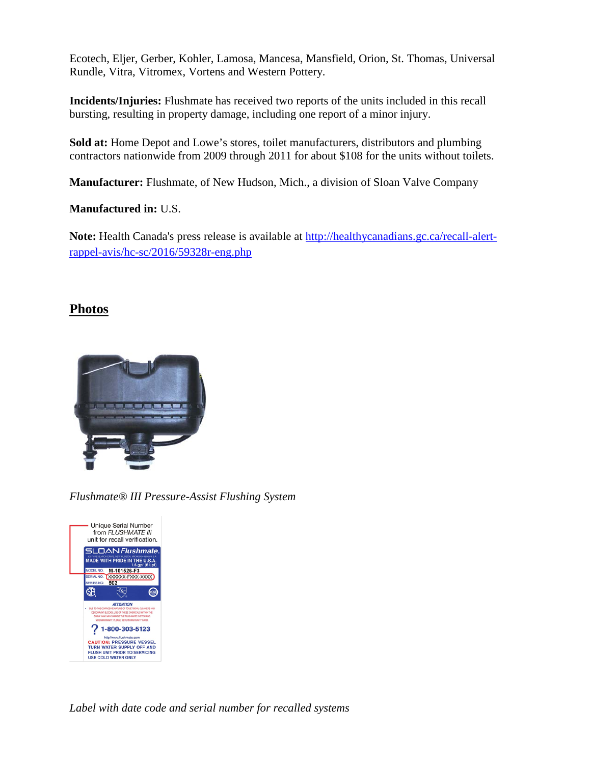Ecotech, Eljer, Gerber, Kohler, Lamosa, Mancesa, Mansfield, Orion, St. Thomas, Universal Rundle, Vitra, Vitromex, Vortens and Western Pottery.

**Incidents/Injuries:** Flushmate has received two reports of the units included in this recall bursting, resulting in property damage, including one report of a minor injury.

**Sold at:** Home Depot and Lowe's stores, toilet manufacturers, distributors and plumbing contractors nationwide from 2009 through 2011 for about \$108 for the units without toilets.

**Manufacturer:** Flushmate, of New Hudson, Mich., a division of Sloan Valve Company

**Manufactured in:** U.S.

**Note:** Health Canada's press release is available at [http://healthycanadians.gc.ca/recall-alert](http://healthycanadians.gc.ca/recall-alert-rappel-avis/hc-sc/2016/59328r-eng.php)[rappel-avis/hc-sc/2016/59328r-eng.php](http://healthycanadians.gc.ca/recall-alert-rappel-avis/hc-sc/2016/59328r-eng.php)

## **Photos**



*Flushmate® III Pressure-Assist Flushing System*



*Label with date code and serial number for recalled systems*